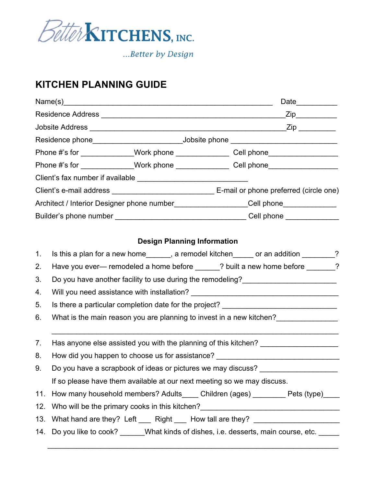

...Better by Design

## **KITCHEN PLANNING GUIDE**

|                                                                                   |                                                                                             |                                    | $\overline{\phantom{z}}$ Zip $\overline{\phantom{z}}$                             |  |
|-----------------------------------------------------------------------------------|---------------------------------------------------------------------------------------------|------------------------------------|-----------------------------------------------------------------------------------|--|
|                                                                                   |                                                                                             |                                    |                                                                                   |  |
|                                                                                   |                                                                                             |                                    |                                                                                   |  |
| Phone #'s for ______________Work phone _________________Cell phone_______________ |                                                                                             |                                    |                                                                                   |  |
|                                                                                   |                                                                                             |                                    | Phone #'s for ______________Work phone _________________Cell phone_______________ |  |
|                                                                                   |                                                                                             |                                    |                                                                                   |  |
|                                                                                   |                                                                                             |                                    |                                                                                   |  |
| Architect / Interior Designer phone number___________________Cell phone__________ |                                                                                             |                                    |                                                                                   |  |
|                                                                                   |                                                                                             |                                    |                                                                                   |  |
|                                                                                   |                                                                                             |                                    |                                                                                   |  |
|                                                                                   |                                                                                             | <b>Design Planning Information</b> |                                                                                   |  |
| $\mathbf{1}$ .                                                                    | Is this a plan for a new home_______, a remodel kitchen_____ or an addition _______?        |                                    |                                                                                   |  |
| 2.                                                                                | Have you ever— remodeled a home before ______? built a new home before _______?             |                                    |                                                                                   |  |
| 3.                                                                                | Do you have another facility to use during the remodeling?______________________            |                                    |                                                                                   |  |
| 4.                                                                                |                                                                                             |                                    |                                                                                   |  |
| 5.                                                                                | Is there a particular completion date for the project? _________________________            |                                    |                                                                                   |  |
| 6.                                                                                | What is the main reason you are planning to invest in a new kitchen?                        |                                    |                                                                                   |  |
|                                                                                   |                                                                                             |                                    |                                                                                   |  |
| 7.                                                                                | Has anyone else assisted you with the planning of this kitchen? ________________            |                                    |                                                                                   |  |
| 8.                                                                                | How did you happen to choose us for assistance?                                             |                                    |                                                                                   |  |
| 9.                                                                                | Do you have a scrapbook of ideas or pictures we may discuss? __________________             |                                    |                                                                                   |  |
|                                                                                   | If so please have them available at our next meeting so we may discuss.                     |                                    |                                                                                   |  |
| 11.                                                                               |                                                                                             |                                    | How many household members? Adults_____ Children (ages) ________ Pets (type)____  |  |
| 12.                                                                               |                                                                                             |                                    |                                                                                   |  |
| 13.                                                                               | What hand are they? Left _____ Right _____ How tall are they? __________________            |                                    |                                                                                   |  |
|                                                                                   | 14. Do you like to cook? ______What kinds of dishes, i.e. desserts, main course, etc. _____ |                                    |                                                                                   |  |
|                                                                                   |                                                                                             |                                    |                                                                                   |  |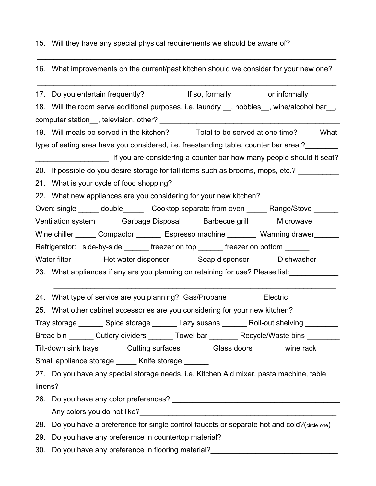## 15. Will they have any special physical requirements we should be aware of?

## 16. What improvements on the current/past kitchen should we consider for your new one?

\_\_\_\_\_\_\_\_\_\_\_\_\_\_\_\_\_\_\_\_\_\_\_\_\_\_\_\_\_\_\_\_\_\_\_\_\_\_\_\_\_\_\_\_\_\_\_\_\_\_\_\_\_\_\_\_\_\_\_\_\_\_\_\_\_\_\_\_\_\_\_\_\_

 $\mathcal{L}_\text{max}$  and  $\mathcal{L}_\text{max}$  and  $\mathcal{L}_\text{max}$  and  $\mathcal{L}_\text{max}$  and  $\mathcal{L}_\text{max}$  and  $\mathcal{L}_\text{max}$ 

17. Do you entertain frequently? The so, formally or informally 18. Will the room serve additional purposes, i.e. laundry \_\_, hobbies\_\_, wine/alcohol bar\_\_, computer station\_\_, television, other? \_\_\_\_\_\_\_\_\_\_\_\_\_\_\_\_\_\_\_\_\_\_\_\_\_\_\_\_\_\_\_\_\_\_\_\_\_\_\_\_\_\_\_\_ 19. Will meals be served in the kitchen? Total to be served at one time? What type of eating area have you considered, i.e. freestanding table, counter bar area,? If you are considering a counter bar how many people should it seat? 20. If possible do you desire storage for tall items such as brooms, mops, etc.? 21. What is your cycle of food shopping? 22. What new appliances are you considering for your new kitchen? Oven: single \_\_\_\_\_ double\_\_\_\_\_\_ Cooktop separate from oven \_\_\_\_\_ Range/Stove \_\_\_\_\_ Ventilation system Garbage Disposal Barbecue grill \_\_\_\_\_\_ Microwave \_\_\_\_\_\_ Wine chiller Compactor \_\_\_\_\_\_ Espresso machine \_\_\_\_\_\_\_\_ Warming drawer\_\_\_\_\_\_\_ Refrigerator: side-by-side freezer on top freezer on bottom Water filter Thot water dispenser Losap dispenser Dishwasher 23. What appliances if any are you planning on retaining for use? Please list:  $\mathcal{L}_\text{max} = \frac{1}{2} \sum_{i=1}^{n} \frac{1}{2} \sum_{i=1}^{n} \frac{1}{2} \sum_{i=1}^{n} \frac{1}{2} \sum_{i=1}^{n} \frac{1}{2} \sum_{i=1}^{n} \frac{1}{2} \sum_{i=1}^{n} \frac{1}{2} \sum_{i=1}^{n} \frac{1}{2} \sum_{i=1}^{n} \frac{1}{2} \sum_{i=1}^{n} \frac{1}{2} \sum_{i=1}^{n} \frac{1}{2} \sum_{i=1}^{n} \frac{1}{2} \sum_{i=1}^{n} \frac{1$ 24. What type of service are you planning? Gas/Propane Electric Electric 25. What other cabinet accessories are you considering for your new kitchen? Tray storage and Spice storage Lazy susans and Roll-out shelving Bread bin \_\_\_\_\_\_ Cutlery dividers \_\_\_\_\_\_ Towel bar \_\_\_\_\_\_\_ Recycle/Waste bins \_\_\_ Tilt-down sink trays equaliting surfaces and Glass doors wine rack Small appliance storage \_\_\_\_\_ Knife storage 27. Do you have any special storage needs, i.e. Kitchen Aid mixer, pasta machine, table  $\blacksquare$ linens? 26. Do you have any color preferences? Any colors you do not like? 28. Do you have a preference for single control faucets or separate hot and cold?(circle one) 29. Do you have any preference in countertop material? 30. Do you have any preference in flooring material?